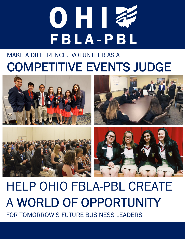# OHI **FBLA-PBL**

### MAKE A DIFFERENCE. VOLUNTEER AS A COMPETITIVE EVENTS JUDGE









# HELP OHIO FBLA-PBL CREATE A WORLD OF OPPORTUNITY FOR TOMORROW'S FUTURE BUSINESS LEADERS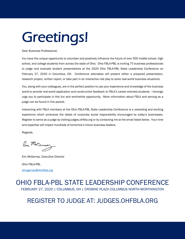### Greetings!

Dear Business Professional,

You have the unique opportunity to volunteer and positively influence the future of over 500 middle school, high school, and college students from across the state of Ohio. Ohio FBLA-PBL is inviting 75 business professionals to judge and evaluate student presentations at the 2020 Ohio FBLA-PBL State Leadership Conference on February 27, 2020 in Columbus, OH. Conference attendees will present either a prepared presentation, research project, written report, or take part in an interactive role play to solve real-world business situations.

You, along with your colleagues, are in the perfect position to use your experience and knowledge of the business world to provide real-world application and constructive feedback to FBLA's career-oriented students. I strongly urge you to participate in this fun and worthwhile opportunity. More information about FBLA and serving as a judge can be found in this packet.

Interacting with FBLA members at the Ohio FBLA-PBL State Leadership Conference is a rewarding and exciting experience which embraces the ideals of corporate social responsibility encouraged by today's businesses. Register to serve as a judge by visiting judges.ohfbla.org or by contacting me at the email listed below. Your time and expertise will impact hundreds of tomorrow's future business leaders.

Regards,

Enie Ma Darney

Eric McGarvey, Executive Director Ohio FBLA-PBL emcgarvey@ohiofbla.org

#### OHIO FBLA-PBL STATE LEADERSHIP CONFERENCE FEBRUARY 27, 2020 | COLUMBUS, OH | CROWNE PLAZA COLUMBUS NORTH-WORTHINGTON

#### REGISTER TO JUDGE AT: JUDGES.OHFBLA.ORG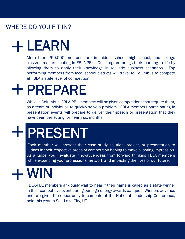### WHERE DO YOU FIT IN?

### LEARN

More than 250,000 members are in middle school, high school, and college classrooms participating in FBLA-PBL. Our program brings their learning to life by allowing them to apply their knowledge in realistic business scenarios. Top performing members from local school districts will travel to Columbus to compete at FBLA's state level of competition.

### **+ PREPARE**

While in Columbus, FBLA-PBL members will be given competitions that require them, as a team or individual, to quickly solve a problem. FBLA members participating in presentation events will prepare to deliver their speech or presentation that they have been perfecting for nearly six months.

## PRESENT

judges in their respective areas of competition hoping to make a lasting impression.<br>As a judge, you'll evaluate innovative ideas from forward thinking FBLA members<br>while expanding your professional network and impacting t Each member will present their case study solution, project, or presentation to As a judge, you'll evaluate innovative ideas from forward thinking FBLA members while expanding your professional network and impacting the lives of our future.

### WIN

FBLA-PBL members anxiously wait to hear if their name is called as a state winner in their competitive event during our high-energy awards banquet. Winners advance and are given the opportunity to compete at the National Leadership Conference, held this year in Salt Lake City, UT.